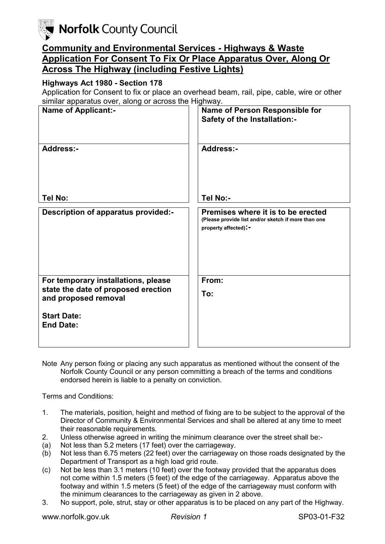**Norfolk County Council** 

## **Community and Environmental Services - Highways & Waste Application For Consent To Fix Or Place Apparatus Over, Along Or Across The Highway (including Festive Lights)**

## **Highways Act 1980 - Section 178**

Application for Consent to fix or place an overhead beam, rail, pipe, cable, wire or other similar apparatus over, along or across the Highway.

| ommar apparatao o ror, arorig                                                                      |                                                                                                                   |
|----------------------------------------------------------------------------------------------------|-------------------------------------------------------------------------------------------------------------------|
| <b>Name of Applicant:-</b>                                                                         | Name of Person Responsible for<br><b>Safety of the Installation:-</b>                                             |
| <b>Address:-</b>                                                                                   | <b>Address:-</b>                                                                                                  |
| Tel No:                                                                                            | Tel No:-                                                                                                          |
| Description of apparatus provided:-                                                                | Premises where it is to be erected<br>(Please provide list and/or sketch if more than one<br>property affected):- |
| For temporary installations, please<br>state the date of proposed erection<br>and proposed removal | From:                                                                                                             |
|                                                                                                    | To:                                                                                                               |
| <b>Start Date:</b><br><b>End Date:</b>                                                             |                                                                                                                   |

Note Any person fixing or placing any such apparatus as mentioned without the consent of the Norfolk County Council or any person committing a breach of the terms and conditions endorsed herein is liable to a penalty on conviction.

Terms and Conditions:

- 1. The materials, position, height and method of fixing are to be subject to the approval of the Director of Community & Environmental Services and shall be altered at any time to meet their reasonable requirements.
- 2. Unless otherwise agreed in writing the minimum clearance over the street shall be:-
- (a) Not less than 5.2 meters (17 feet) over the carriageway.
- (b) Not less than 6.75 meters (22 feet) over the carriageway on those roads designated by the Department of Transport as a high load grid route.
- (c) Not be less than 3.1 meters (10 feet) over the footway provided that the apparatus does not come within 1.5 meters (5 feet) of the edge of the carriageway. Apparatus above the footway and within 1.5 meters (5 feet) of the edge of the carriageway must conform with the minimum clearances to the carriageway as given in 2 above.
- 3. No support, pole, strut, stay or other apparatus is to be placed on any part of the Highway.